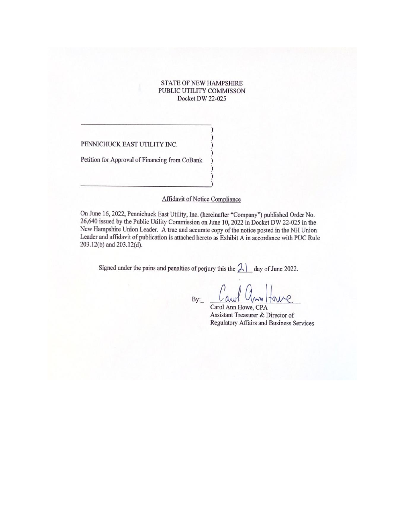# STATE OF NEW HAMPSHIRE PUBLIC UTILITY COMMJSSON Docket DW 22-025

) )

)

) )

PENNICHUCK EAST UTILITY INC.

Petition for Approval of Financing from CoBank

## Affidavit of Notice Compliance

On June 16, 2022, Pennichuck East Utility, Inc. (hereinafter "Company") published Order No. 26,640 issued by the Public Utility Commission on June 10, 2022 in Docket DW 22-025 in the New Hampshire Union Leader. A true and accurate copy of the notice posted in the NH Union Leader and affidavit of publication is attached hereto as Exhibit A in accordance with PUC Rule 203.12(b) and 203.12(d).

Signed under the pains and penalties of perjury this the  $21$  day of June 2022.

By:

АΡ

Carol Ann Howe, CPA Assistant Treasurer & Director of Regulatory Affairs and Business Services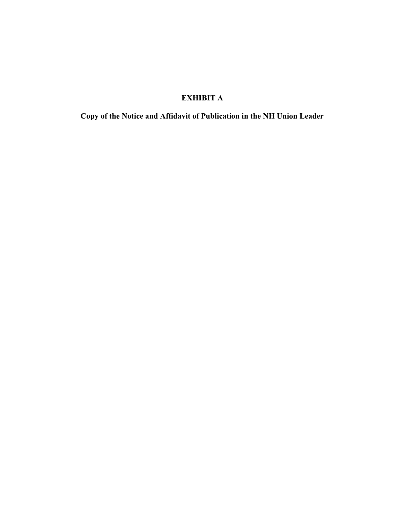# EXHIBIT A

Copy of the Notice and Affidavit of Publication in the NH Union Leader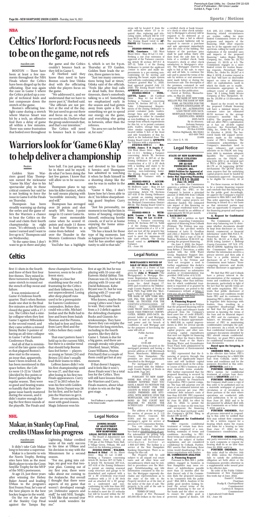#### **ZONING BOARD OF ADJUSTMENT TOWN OF PELHAM, NEW HAMPSHIRE LEGAL NOTICE OF DECISION**

The Board of Adjustment met on Monday, June 13, 2022, at 7:00 pm at the Pelham Town Hall, 6 Village Green, Pelham, NH and voted on the following petitions:

**ZO2022-00006 - WALKER, Richard & Ethel** - 81 So. Shore Drive - Map 31 Lot 11-268 - Seeking a Variance concerning Article III, Section 307-12 Table 1, & Article VII, Section(s) 307-41A, 307-41B of the Zoning Ordinance to permit an existing seasonal camp structure and garage to be demolished and replaced with a 32' x 36' 2-bedroom year-round residence with a 10' x 36' deck and an attached 24' x 30' garage on a undersized and nonconforming lot with less than 200' of frontage. The construction will be shifted to meet the 15' setbacks but will be located within the 50' WCD setback and the deck and

### **MORTGAGEE'S NOTICE OF SALE OF REAL PROPERTY**

By virtue of a Power of Sale contained in a certain mortgage given by **John J. Wemmitt** ("the Mortgagor(s)") to Mortgage Electronic Registration Systems, Inc. as nominee for Countrywide Home Loans, Inc., dated August 17, 2005 and recorded in the Hillsborough County Registry of Deeds in Book 7529, Page 2069 (the "Mortgage"), which mortgage is held by THE BANK OF NEW YORK MEL-LON FKA THE BANK OF NEW YORK, AS TRUSTEE FOR THE CERTIFICATEHOLDERS OF CWALT, INC., ALTERNATIVE LOAN TRUST 2005-54CB, MORT-GAGE PASS-THROUGH CERTIFI-CATES, SERIES 2005-54CB, the present holder of said Mortgage, pursuant to and in execution of said power and for breach of conditions of said Mortgage and for the purposes of foreclosing the same will sell at:

Public Auction on

July 27, 2022 at

10:00 AM

Said sale being located on the mortgaged premises and having a present address of 156 Merrimack Street, Manchester, Hillsborough County, New Hampshire. The premises are more particularly described in the Mortgage.

For mortgagor's(s') title see deed recorded with the Hillsborough County Registry of Deeds in Book 6599, Page 281. NOTICE

PURSUANT TO NEW HAMP-SHIRE RSA 479:25, YOU ARE HEREBY NOTIFIED THAT YOU HAVE A RIGHT TO PETITION THE SUPERIOR COURT FOR THE COUNTY IN WHICH THE MORT-GAGED PREMISES ARE SITU-ATED, WITH SERVICE UPON THE MORTGAGEE, AND UPON SUCH BOND AS THE COURT MAY REQUIRE TO ENJOIN THE SCHEDULED FORECLOSURE SALE.

The address of the mortgagee for service of process is  $2\tilde{1}/2$ <br>Beacon Street. Concord. NH Beacon Street, Concord, NH 03301 and the name of the mortgagee's agent for service of process is CT Corporation System.

The Petition and subsequent docket filings, other than information for which confidential treatment is requested of or granted by

PEU represented in its Petition that the proposed financing will be used to repay and refinance funds advanced from the Company's fixed asset line of credit (FALOC). According to PEU, FALOC funds were used to finance approximately \$665,936 in capital improvements in 2021 for several specific projects, routine maintenance capital projects, and other nonrecurring capital expenditures that were not eligible for financing through either the State's Revolving Loan Fund or the State's Drinking Water and Groundwater Trust Fund, both administered by the Department of Environmental **Services** 

You can contact the New Hampshire Banking Department by e-mail at nhbd@banking.nh.gov. For information on getting help with housing and foreclosure issues, please call the foreclosure information hotline at 1-800-437-5991. The hotline is a service of the New Hampshire Banking Department. There is no charge for this call.

The Property will be sold subject to all unpaid real estate taxes and all other liens and encumbrances which may be entitled to precedence over the Mortgage. Notwithstanding any title information contained in this notice, the Mortgagee expressly disclaims any representations as to the state of the title to the Property involved as of the date of the notice of the date of sale. The property to be sold at the sale is "AS IS WHERE IS".

TERMS OF SALE

A deposit of Five Thousand (\$5,000.00) Dollars in the form of

## **Legal Notice**

**STATE OF NEW HAMPSHIRE PUBLIC UTILITIES COMMISSION DW 22-025 PENNICHUCK EAST UTILITY, INC. 2022 Petition for Approval of Financing from CoBank, ACB1 Order Nisi Approving Financing O R D E R N O. 26,640**

**June 10, 2022** In this order, the Commission approves a petition of Pennichuck East Utility, Inc. (PEU, or the Company) to borrow a principal amount of \$665,936 from CoBank for a 25-year term to finance certain 2021 capital projects not otherwise funded. The estimated rate impact of this financing on the average residential water customer bill would be an addition of approximately \$0.55 per month. **I. BACKGROUND**

PEU filed a petition on April 13, 2022, requesting Commission approval of financing from CoBank (Petition). The Petition was supported by the pre-filed written testimony of Larry D. Goodhue and John J. Boisvert. On April 20, 2022, PEU filed a copy of City of Nashua Resolution R-22-019 approving the proposed financing.

On June 3, 2022, the Department of Energy (DOE) filed a letter from Robyn J. Descoteau, a utility analyst with the DOE Water Group, Regulatory Support Division, stating that DOE "takes no exception" to the Petition and "does not recognize a need to further supplement this docket's record and considers it complete for consideration;" no substantive analysis or recommendation was provided. DOE Letter of 6/3/22.

the Commission, are posted to the Commission's website at https:// www.puc.nh.gov/Regulatory/Doc ketbk/2022/22- 025.html. **II. PETITION**

# **A. Financing Request**

**ORDERED NISI,** that subject to the effective date below, PEU's proposed financing for a \$665,936 loan from CoBank, under the terms and conditions and for the purposes described in this order, **APPROVED;** and it is

PEU represented that the financing of projects through this loan will not significantly impact rates and will facilitate capital improvements made in the ordinary course of PEU's business at the most favorable terms available. PEU further represented that the proposed financing is secured by PEU's equity interest in CoBank and a guaranty by Pennichuck Corporation, PEU's parent company. The loan will amortize over 25 years at an estimated interest rate of 4.50 percent per year. PEU estimates debt issuance costs of less than \$10,000. PEU requested approval of the proposed financing by June 30, 2022, for effect by July 31, 2022, to permit the Company to close on the term loan and incorporate the financing costs in the final surcharge under the Company's QCPAC filing in

> *1 Agricultural Credit Bank*  $[UL - June 16]$

#### Docket DW 22-005. **B. Request for Confidential Treatment**

PEU requests confidential treatment of certain loan documentation comprised of a nonbinding summary of terms and conditions. According to PEU, these terms and conditions are not final, are the subject of further negotiation, and are considered confidential by CoBank. Further, PEU asserts that disclosing these terms would disadvantage PEU in future negotiations with lenders.

### **III. COMMISSION ANALYSIS A. Financing Request**

Pursuant to RSA 369:1, public utilities engaged in business in New Hampshire may issue evidence of indebtedness payable more than 12 months after the date thereof only if the Commission finds the proposed issuance to be "consistent with the public good." RSA 369:4. Analysis of the public good involves looking beyond the actual terms of the proposed financing to the use of the funds and the effect on rates to ensure the public good is protected. *Appeal of Easton*, 125

# **Legal Notice**

N.H. 205, 211 (1984). "[C]ertain financing related circumstances are routine, calling for more limited Commission review of the purposes and impacts of the financing, while other requests may be at the opposite end of the spectrum, calling for vastly greater exploration of the intended uses and impacts of the proposed financing." *Lakes Region Water Company*, Inc., Order No. 25,753 (January 13, 2015) at 4-5. The Commission engages in a more limited review for routine financing requests. *Pennichuck Water Works, Inc.,* Order No. 26,247 at 4 (May 3, 2019). A routine request is one that "will have no discernible impact on rates or deleterious effect on capitalization, [and] in which the funds are to enable. investments appropriate in the ordinary course of utility operations." *Id. 5* (citing *Public Service Company of New Hampshire,* Order No. 25,050 at 13 (December 8, 2009).

Based on the record, we find the proposed CoBank financing have a minimal impact on customer rates (an estimated \$0.55 increase in the average customer's monthly bill, or 0.65%). The proposed financing will not affect PEU's capitalization as it has an all-debt capital structure. *See Pennichuck East Utility, Inc.,* Order No. 26,179 at 14 (October 4, 2018). The borrowed funds will support investments made in the ordinary course of PEU's business. The Commission acknowledges the Company's immediate need to repay, refinance, and convert amounts on its FALOC into longterm debt to maintain adequate liquidity. The conversion of amounts on the FALOC into long-term debt is an integral part of PEU's QCPAC. See Order No. 26,179 at 16 (approving QCPAC mechanism). The QCPAC mechanism requires that the underlying capital projects must be funded by Commission-approved financings to be eligible for recovery. *Id.* at 11.

For these reasons, we find this to be a routine financing request and conclude that this financing is for the public good. Accordingly, we approve the Company's request pursuant to RSA 369:1 and 369:4. This order approving the CoBank financing is issued on a *nisi* basis so that interested parties may have an opportunity to respond to the financing proposal and request a hearing.

### **A. Request for Confidential Treatment**

If that doesn't happen, and it feels like it won't, these Finals won't be a total loss for the Celtics. They will still have lessons from the Warriors and Curry, Finals masters, about what it takes to win on the biggest stage.  $\bullet$ 

The Commission applies a three-step balancing test to determine whether documents should be kept from disclosure as "confidential, commercial, or financial information" under RSA 91A:5, IV. *Pennichuck Water Works, Inc.,* Order No. 26,121 at 6 (April 20, 2018) (citing *Lambert v. Belknap County Convention,* 157 N.H. 375, 382-83 (2008)). Applying this test, the Commission first inquires whether the information involves a privacy interest and then asks if there is a public interest in disclosure. *Id*. at 7. Finally, the Commission must balance "those competing interests and decide whether disclosure is appropriate. *Id.*

We find that PEU and CoBank have a privacy interest in the documentation of the summary of terms and conditions of the loan documents, particularly in light of the fact that the specific terms are

still under negotiation. PEU contends that public disclosure of these terms and conditions would harm PEU and its customers by impairing PEU's ability to effectively negotiate debt financings with lenders, thus, resulting in a competitive disadvantage. While we find that the public has an interest in knowing the terms of the loan and its financial impact on PEU and its customers, on balance, we determine that the interest of PEU in maintaining confidentiality outweighs the public's interests. As a result, we find that confidential treatment of the summary documents identified by PEU should remain confidential. Therefore, we grant PEU's motion for confidential treatment of those loan documents.

### **Based upon the foregoing, it is hereby**

**FURTHER ORDERED,** that PEU's motion for confidential treatment of certain loan documents is **GRANTED;** and it is

"Just his personality, no moment is too big for him in terms of hooping, enjoying himself, embracing hostile crowds, or if we're at home enjoying the home atmosphere," he said.

> **FURTHER ORDERED**, that the Company shall cause a copy of this order to be published once in a statewide newspaper of general circulation or of circulation in those portions of the state where operations are conducted, with such publication to be no later than June 20, 2022 and to be documented by affidavit filed with the Commission on or before July 7, 2022; and it is

**FURTHER ORDERED,** that all persons interested in responding to this order be notified that they may submit their comments or file a written request for a hearing which states the reason and basis for a hearing no later than June 17, 2022 for the Commission's consideration; and it is

**FURTHER ORDERED,** that any party interested in responding to such comments or request for hearing shall do so no later than June 24, 2022; and it is

**FURTHER ORDERED,** that this order shall be effective July 10, 2022, unless the Petitioner fails to satisfy the publication obligation set forth above or the Commission provides otherwise in a supplemental order issued prior to the effective date.

By order of the Public Utilities Commission of New Hampshire this tenth day of June, 2022.

Daniel C. Goldner Chairman Pradip K. Chattopadhyay Commissioner Carleton B. Simpson Commissioner

# **Legal Notice**

steps will be located 6' from the side setbacks where 15' is required. Also, replacing and relocating septic, setback will be 110' from WCD where 125' is required. The Zoning Board voted to **AP-PROVE** the Variance with conditions.

**ZO2020-00008(2) - LO-SCHI, Constance** - 120 West Shore Drive - Map 30 Lot 11-142 - Seeking a one year extension of approval of the Variance concerning Article III section 307-8-C & 307-12, Table 1 of the Zoning Ordinance to permit the applicant /owner to move and make improvements to a pre-existing nonconforming lot by moving and replacing the house, septic system and well into conforming setbacks. Variance granted May 11, 2020, final approval granted July 13, 2020. The Zoning Board voted to **APPROVE** one year extension.

**ZO2022-00010 - OUEL-LETTE, Lance** - 24 Cardinal Drive - Map 41 Lot 6-148 - Seeking a Variance concerning Article III, Section 307-12, C, & Table 1-Dimensional Requirements of the Zoning Ordinance to permit container pods, trailers, storage bins and other similar equipment to either be classified as non-buildings so that they are exempt from setback requirements for this lot; or to permit container pods, trailers, storage bins and other similar equipment to be located within 5 feet of the front and side boundaries of this lot, which is the Industrial Zone. The Zoning Board voted to **APPROVE**

the Variance with a stipulation. **ZO2022-00011 - MA-GUIRE, James. T & Angela J** - 124 West Shore Drive - Map 30 Lot 11-111 - Seeking a Variance concerning: Article III, Sections 307-8, 307-12, & 307-41 of the Zoning Ordinance to permit the construction of a 12' x 25' deck with a landing and stairs to be built on the pond side of the

existing, non-conforming home. The Zoning Board voted to **AP-**

**PROVE** the Variance with a condition. **ZO2022-00012 - ACCOM-ANDO, Michael W. & Karen A.** - 96 Mulberry Lane - Map 24 Lot 12-44-4 - Seeking a Variance concerning: Article VII, Sections 307-41B of the Zoning Ordinance to permit an existing inground swimming pool to remain within the Wetland Conservation District (WCD). The Zoning Board voted to **APPROVE** the Variance with con-

ditions. **ZO2022-00013 - WITH-ROW, Leanne - 23 So. Shore Drive - Map 30 Lot 11-216** - Seeking a Variance concerning: Article III, Sections 307-12, Table 1 of the Zoning Ordinance to permit construction of a 12' x 16' shed one foot off the property line where a shed of this size would need to meet the minimum 15' side yard setback. The Zoning Board voted to **APPROVE** the Variance.

(UL - June 16)

a certified check or bank treasurer's check or other check satisfactory to Mortgagee's attorney will be required to be delivered at or before the time a bid is offered. The successful bidder(s) will be required to execute a purchase and sale agreement immediately after the close of the bidding. The balance of the purchase price shall be paid within thirty (30) days from the sale date in the form of a certified check, bank treasurer's check or other check satisfactory to Mortgagee's attorney. The Mortgagee reserves the right to bid at the sale, to reject any and all bids, to continue the sale and to amend the terms of the sale by written or oral announcement made before or during the foreclosure sale. The description of the premises contained in said mortgage shall control in the event of an error in this publication.

Dated at Newton, Massachusetts, on May 23, 2022.

THE BANK OF NEW YORK MELLON FKA THE BANK OF NEW YORK, AS TRUSTEE FOR THE CERTIFICATEHOLDERS OF

> CWALT, INC., ALTERNATIVE LOAN TRUST 2005-54CB, MORTGAGE PASS-THROUGH CERTIFICATES, SERIES 2005-54CB By its Attorney, Autumn Sarzana Harmon Law Offices, P.C. PO Box 610389 Newton Highlands, MA 02461 603-669-7963 21406

(UL - June 2, 9, 16)

first 11 shots in the fourth and three of their first four free throws. They mixed in three turnovers during that same stretch to round out

the stench of flop sweat and frustrating for the Celtics failure.

It was reminiscent of Game 4's hideous fourth quarter. That's when Boston made one shot in the final five minutes as the Warriors closed the game with a 17-3 run. The Celtics had a similar collapse when they lost Game 5 against Milwaukee in the second round, and they came within a missed Jimmy Butler 3-pointer of having an all-time collapse in Game 7 of the Eastern Conference Finals.

And all of that is reminiscent of the late-game crashes that plagued Boston's slow start to the season, an issue that, apparently, hasn't been resolved. As has been mentioned in this space before, the Celtics were 13-22 in "clutch" (decided by five points or fewer) games during the regular season. They were so good and beating teams so handily that their lategame issue barely mattered during the season, and it didn't matter enough during the first three rounds of the playoffs. The Finals and

these champion Warriors, however, seem to be a dif-

ferent story.

Being so close but stumbling near the end is

and their followers, but it's not unprecedented. Losing after deep playoff runs used to be a prerequisite for Eastern Conference contenders. Before they could win a title, Michael Jordan and the Bulls had to lose and learn from Isaiah Thomas and the Pistons, who had to lose and learn from Larry Bird and the Celtics before they could

win.

That exact pattern hasn't held up in the current NBA, but there is a similar trend that should help Boston fans feel better — players as young as Tatum (24) and Brown (25) don't usually lead their teams to titles. LeBron James didn't win his first championship until he was 27, and that was after losing in his first two Finals appearances. Curry was 27 in 2015 when he won his first with Golden State. Kevin Durant was 28 for his first, and he had to join the Warriors to get it. There are exceptions, but most with good reason. Magic Johnson won his

first at age 20, but he was playing with 33-year-old Kareem Abdul-Jabbar. Tim Duncan was 23, but he was

playing with 33-year-old David Robinson. Kobe

Bryant was 21, but he was playing with 27-year-old Shaquille O'Neal.

Who knows, maybe these young Celtics won't have to wait. They came back from a 3-2 deficit against the defending champion Bucks and Giannis Antetokounmpo. They have shown they can outplay the Warriors for long stretches, including in the fourth quarter, like they did in Game 1. Tatum is due for a big game, and there are enough streaky role players (Horford, Smart, White, Grant Williams, Payton Pritchard) that a couple of them could get hot at any moment.

Tim O'Sullivan is a regular contributor to the Union Leader.

**Celtics**

### masslive.com

BOSTON — There have been at least a few moments throughout the NBA Finals where the Celtics have been dinged up by the officiating. That was again the case in Game 5 where the Celtics picked up a couple of technical fouls and lost composure down the stretch of the game.

Boston's officiating lowwhere Marcus Smart was hit by a tech, an offensive foul then a delay of game all within a few minutes. There was some frustration that boiled over throughout

couldn't bounce back as Thursday at TD Garden. they fell in Game 5.

Al Horford said they know they need to have deal with the officiating while the players focus on the game.

light came during a stretch We just need to go out there "We addressed it, and we understand that we have to move past it," Horford said. "The officials are not perfect at the end of the day. and focus on us, on what we need to do. I believe that the group understands that, and that's our intention."

the game and the Celtics 6, which is set for 9 p.m. Golden State leads the series, three games to two.

Boston coach Ime Udoka tions being had at times," "Just too many conversa-Udoka said of the officials. "Feels like after foul calls or dead balls, free throws, timeouts, there's somebody talking to a ref. Something we emphasized early in the season and had gotten away from quite a bit. So something we got to spend our energy on the game, and everything else going in between, other than the referees.

The Celtics will need to bounce back in Game at, for sure."

"An area we can be better

Sports / Notices

# **Celtics' Horford: Focus needs to be on the game, not refs**

# NBA

### Reuters

Golden State Warriors guard Klay Thompson earned the nickname "Game Six Klay" due to his spectacular play in those critical contests but said he is not looking to force the issue in Game 6 of the Finals on Thursday.

Thompson has been steadily warming up during the series and the game offers the Warriors a chance to beat the Celtics on the road and claim their fourth championship in eight years. "It's obviously a nickname I earned and I want to live up to it," Thompson said on Wednesday.

"At the same time, I don't want to go in there and play

hero ball. I'm just going to reel devoted to his Game be in there and be myself, 6 heroics and Thompson do what I've been doing the has admitted to watching last few games. I know that it when he finds himself in will allow us to be successful."

Thompson plans to tap into his killer instinct, which he said means playing with "incredible intensity, force and will."

Thompson has averaged over 20 points and shot nearly 50% from 3-point range in 12 career Game 6s.

The most memorable came when he scored 41 points and made 11 threes to lead the Warriors to a come-from-behind win over the Thunder in the Western Conference Finals in 2016.

YouTube has a highlight

a shooting slump like the one he was in earlier in the series.

"Game 6 Klay, I don't know how he's been able to do it," his fellow sharpshooting guard Stephen Curry said.

"He has a knack for those type of big moments. Just so happened to be Game 6. And he has another opportunity to add to that tale."

....................... From Page B3

# **Warriors look for 'Game 6 Klay' to help deliver a championship**

### masslive.com

It didn't take Cale Makar long to become a superstar.

Makar is a favorite to win the Norris Trophy. Betting sites have him as the most likely player to win the Conn Smythe Trophy for the MVP of the NHL's postseason.

At age 23, just three years after winning the Hobey Baker Award and leading UMass to the program's first Frozen Four, he's one of the best players in the best hockey league in the world.

Lightning, Makar credited some of his early success to his time at UMass and his decision to stay with the Minutemen for a second season.

of the Stanley Cup Final would work wonders for "For me, going into college, my goal was that twoyear plan. Coming out of my first year, there were talks about me coming to the Avalanche. But overall I thought that there were aspects of my game that weren't developed enough yet. Defensive aspects and stuff," he told NHL Tonight. "I felt like that second year

On the eve of the start against the Tampa Bay me."

# NHL

# **Makar, in Stanley Cup Final, credits UMass for his progress**